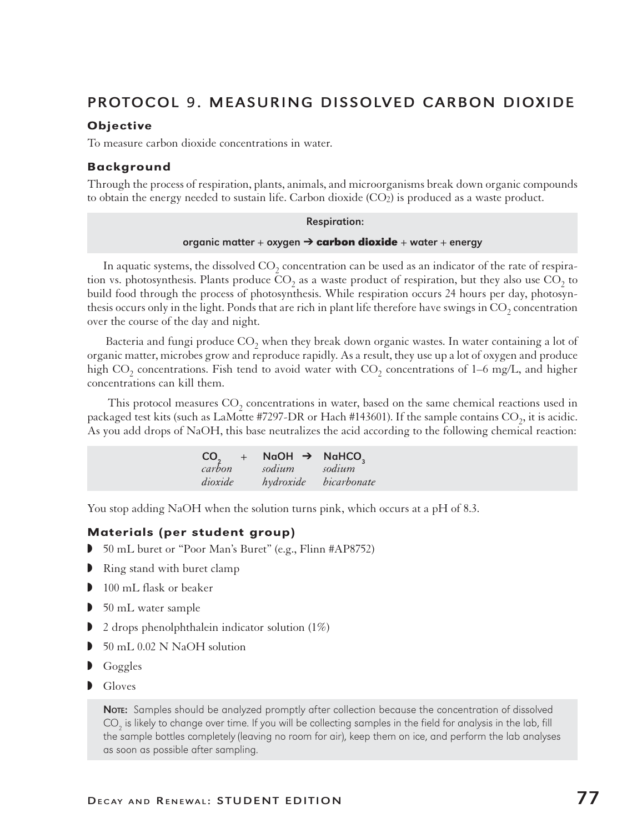# PROTOCOL 9. MEASURING DISSOLVED CARBON DIOXIDE

### **Objective**

To measure carbon dioxide concentrations in water.

### Background

Through the process of respiration, plants, animals, and microorganisms break down organic compounds to obtain the energy needed to sustain life. Carbon dioxide (CO2) is produced as a waste product.

#### Respiration:

#### organic matter + oxygen ' **carbon dioxide** + water + energy

In aquatic systems, the dissolved  $\mathrm{CO}_2$  concentration can be used as an indicator of the rate of respiration vs. photosynthesis. Plants produce  $CO_2$  as a waste product of respiration, but they also use  $CO_2$  to build food through the process of photosynthesis. While respiration occurs 24 hours per day, photosynthesis occurs only in the light. Ponds that are rich in plant life therefore have swings in  $\mathrm{CO}_2$  concentration over the course of the day and night.

Bacteria and fungi produce  $CO_2$  when they break down organic wastes. In water containing a lot of organic matter, microbes grow and reproduce rapidly. As a result, they use up a lot of oxygen and produce high CO<sub>2</sub> concentrations. Fish tend to avoid water with CO<sub>2</sub> concentrations of 1–6 mg/L, and higher concentrations can kill them.

This protocol measures  $CO_2$  concentrations in water, based on the same chemical reactions used in packaged test kits (such as LaMotte #7297-DR or Hach #143601). If the sample contains  $CO_2$ , it is acidic. As you add drops of NaOH, this base neutralizes the acid according to the following chemical reaction:

| CO <sub>2</sub> | $+$ | NaOH $\rightarrow$ | NaHCO <sub>2</sub> |
|-----------------|-----|--------------------|--------------------|
| carbon          |     | sodium             | sodium             |
| dioxide         |     | hydroxide          | bicarbonate        |

You stop adding NaOH when the solution turns pink, which occurs at a pH of 8.3.

### Materials (per student group)

- 50 mL buret or "Poor Man's Buret" (e.g., Flinn #AP8752)
- $\blacksquare$  Ring stand with buret clamp
- $\blacksquare$  100 mL flask or beaker
- $\triangleright$  50 mL water sample
- $\triangleright$  2 drops phenolphthalein indicator solution (1%)
- w 50 mL 0.02 N NaOH solution
- $\bigcup$  Goggles
- $\blacksquare$  Gloves

NOTE: Samples should be analyzed promptly after collection because the concentration of dissolved  $\mathrm{CO}_2$  is likely to change over time. If you will be collecting samples in the field for analysis in the lab, fill the sample bottles completely (leaving no room for air), keep them on ice, and perform the lab analyses as soon as possible after sampling.